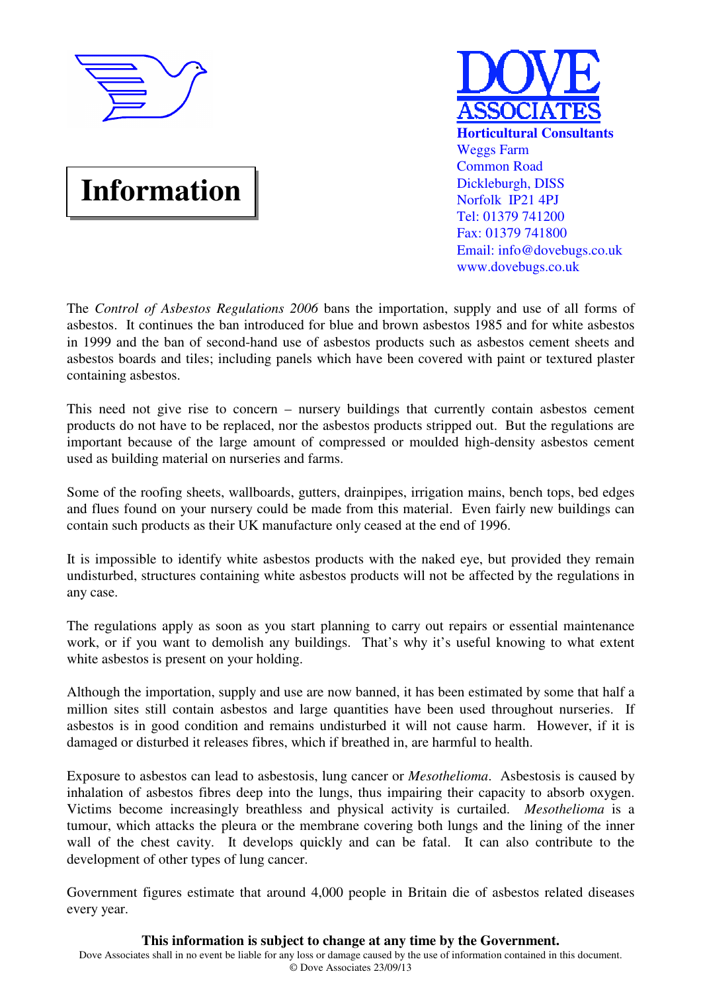

# **Information**



The *Control of Asbestos Regulations 2006* bans the importation, supply and use of all forms of asbestos. It continues the ban introduced for blue and brown asbestos 1985 and for white asbestos in 1999 and the ban of second-hand use of asbestos products such as asbestos cement sheets and asbestos boards and tiles; including panels which have been covered with paint or textured plaster containing asbestos.

This need not give rise to concern – nursery buildings that currently contain asbestos cement products do not have to be replaced, nor the asbestos products stripped out. But the regulations are important because of the large amount of compressed or moulded high-density asbestos cement used as building material on nurseries and farms.

Some of the roofing sheets, wallboards, gutters, drainpipes, irrigation mains, bench tops, bed edges and flues found on your nursery could be made from this material. Even fairly new buildings can contain such products as their UK manufacture only ceased at the end of 1996.

It is impossible to identify white asbestos products with the naked eye, but provided they remain undisturbed, structures containing white asbestos products will not be affected by the regulations in any case.

The regulations apply as soon as you start planning to carry out repairs or essential maintenance work, or if you want to demolish any buildings. That's why it's useful knowing to what extent white asbestos is present on your holding.

Although the importation, supply and use are now banned, it has been estimated by some that half a million sites still contain asbestos and large quantities have been used throughout nurseries. If asbestos is in good condition and remains undisturbed it will not cause harm. However, if it is damaged or disturbed it releases fibres, which if breathed in, are harmful to health.

Exposure to asbestos can lead to asbestosis, lung cancer or *Mesothelioma*. Asbestosis is caused by inhalation of asbestos fibres deep into the lungs, thus impairing their capacity to absorb oxygen. Victims become increasingly breathless and physical activity is curtailed. *Mesothelioma* is a tumour, which attacks the pleura or the membrane covering both lungs and the lining of the inner wall of the chest cavity. It develops quickly and can be fatal. It can also contribute to the development of other types of lung cancer.

Government figures estimate that around 4,000 people in Britain die of asbestos related diseases every year.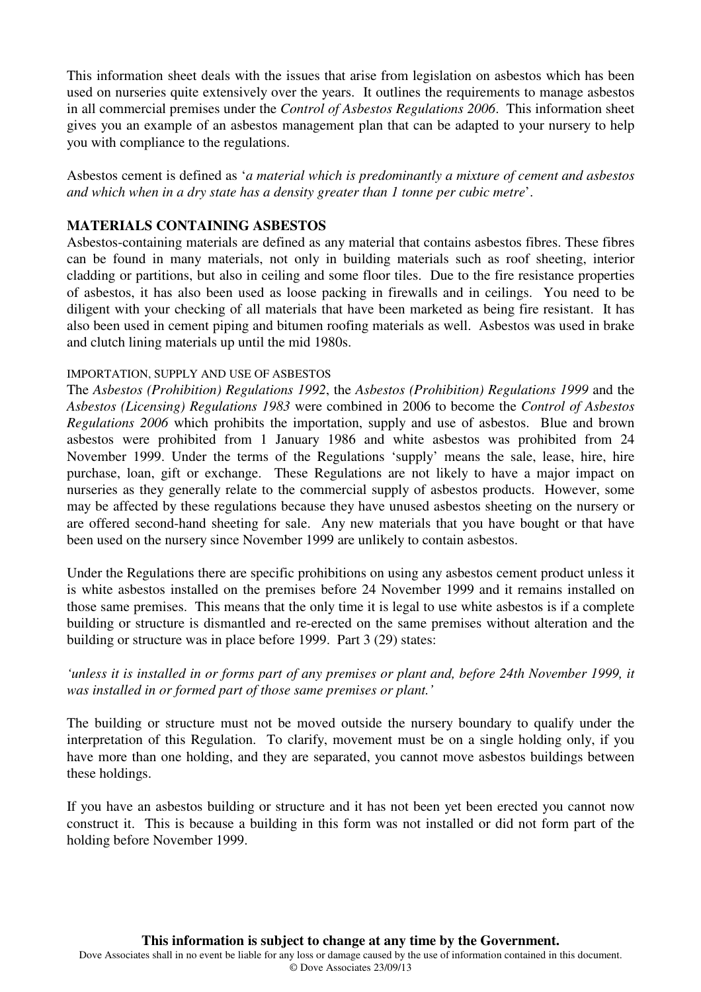This information sheet deals with the issues that arise from legislation on asbestos which has been used on nurseries quite extensively over the years. It outlines the requirements to manage asbestos in all commercial premises under the *Control of Asbestos Regulations 2006*. This information sheet gives you an example of an asbestos management plan that can be adapted to your nursery to help you with compliance to the regulations.

Asbestos cement is defined as '*a material which is predominantly a mixture of cement and asbestos and which when in a dry state has a density greater than 1 tonne per cubic metre*'.

## **MATERIALS CONTAINING ASBESTOS**

Asbestos-containing materials are defined as any material that contains asbestos fibres. These fibres can be found in many materials, not only in building materials such as roof sheeting, interior cladding or partitions, but also in ceiling and some floor tiles. Due to the fire resistance properties of asbestos, it has also been used as loose packing in firewalls and in ceilings. You need to be diligent with your checking of all materials that have been marketed as being fire resistant. It has also been used in cement piping and bitumen roofing materials as well. Asbestos was used in brake and clutch lining materials up until the mid 1980s.

#### IMPORTATION, SUPPLY AND USE OF ASBESTOS

The *Asbestos (Prohibition) Regulations 1992*, the *Asbestos (Prohibition) Regulations 1999* and the *Asbestos (Licensing) Regulations 1983* were combined in 2006 to become the *Control of Asbestos Regulations 2006* which prohibits the importation, supply and use of asbestos. Blue and brown asbestos were prohibited from 1 January 1986 and white asbestos was prohibited from 24 November 1999. Under the terms of the Regulations 'supply' means the sale, lease, hire, hire purchase, loan, gift or exchange. These Regulations are not likely to have a major impact on nurseries as they generally relate to the commercial supply of asbestos products. However, some may be affected by these regulations because they have unused asbestos sheeting on the nursery or are offered second-hand sheeting for sale. Any new materials that you have bought or that have been used on the nursery since November 1999 are unlikely to contain asbestos.

Under the Regulations there are specific prohibitions on using any asbestos cement product unless it is white asbestos installed on the premises before 24 November 1999 and it remains installed on those same premises. This means that the only time it is legal to use white asbestos is if a complete building or structure is dismantled and re-erected on the same premises without alteration and the building or structure was in place before 1999. Part 3 (29) states:

## *'unless it is installed in or forms part of any premises or plant and, before 24th November 1999, it was installed in or formed part of those same premises or plant.'*

The building or structure must not be moved outside the nursery boundary to qualify under the interpretation of this Regulation. To clarify, movement must be on a single holding only, if you have more than one holding, and they are separated, you cannot move asbestos buildings between these holdings.

If you have an asbestos building or structure and it has not been yet been erected you cannot now construct it. This is because a building in this form was not installed or did not form part of the holding before November 1999.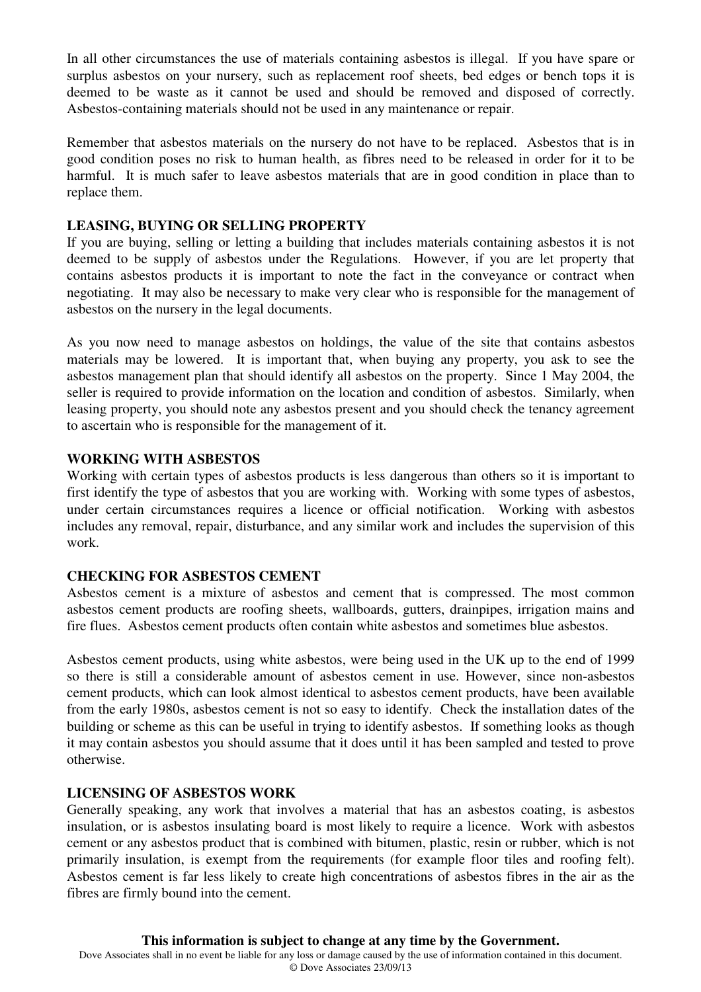In all other circumstances the use of materials containing asbestos is illegal. If you have spare or surplus asbestos on your nursery, such as replacement roof sheets, bed edges or bench tops it is deemed to be waste as it cannot be used and should be removed and disposed of correctly. Asbestos-containing materials should not be used in any maintenance or repair.

Remember that asbestos materials on the nursery do not have to be replaced. Asbestos that is in good condition poses no risk to human health, as fibres need to be released in order for it to be harmful. It is much safer to leave asbestos materials that are in good condition in place than to replace them.

#### **LEASING, BUYING OR SELLING PROPERTY**

If you are buying, selling or letting a building that includes materials containing asbestos it is not deemed to be supply of asbestos under the Regulations. However, if you are let property that contains asbestos products it is important to note the fact in the conveyance or contract when negotiating. It may also be necessary to make very clear who is responsible for the management of asbestos on the nursery in the legal documents.

As you now need to manage asbestos on holdings, the value of the site that contains asbestos materials may be lowered. It is important that, when buying any property, you ask to see the asbestos management plan that should identify all asbestos on the property. Since 1 May 2004, the seller is required to provide information on the location and condition of asbestos. Similarly, when leasing property, you should note any asbestos present and you should check the tenancy agreement to ascertain who is responsible for the management of it.

#### **WORKING WITH ASBESTOS**

Working with certain types of asbestos products is less dangerous than others so it is important to first identify the type of asbestos that you are working with. Working with some types of asbestos, under certain circumstances requires a licence or official notification. Working with asbestos includes any removal, repair, disturbance, and any similar work and includes the supervision of this work.

## **CHECKING FOR ASBESTOS CEMENT**

Asbestos cement is a mixture of asbestos and cement that is compressed. The most common asbestos cement products are roofing sheets, wallboards, gutters, drainpipes, irrigation mains and fire flues. Asbestos cement products often contain white asbestos and sometimes blue asbestos.

Asbestos cement products, using white asbestos, were being used in the UK up to the end of 1999 so there is still a considerable amount of asbestos cement in use. However, since non-asbestos cement products, which can look almost identical to asbestos cement products, have been available from the early 1980s, asbestos cement is not so easy to identify. Check the installation dates of the building or scheme as this can be useful in trying to identify asbestos. If something looks as though it may contain asbestos you should assume that it does until it has been sampled and tested to prove otherwise.

## **LICENSING OF ASBESTOS WORK**

Generally speaking, any work that involves a material that has an asbestos coating, is asbestos insulation, or is asbestos insulating board is most likely to require a licence. Work with asbestos cement or any asbestos product that is combined with bitumen, plastic, resin or rubber, which is not primarily insulation, is exempt from the requirements (for example floor tiles and roofing felt). Asbestos cement is far less likely to create high concentrations of asbestos fibres in the air as the fibres are firmly bound into the cement.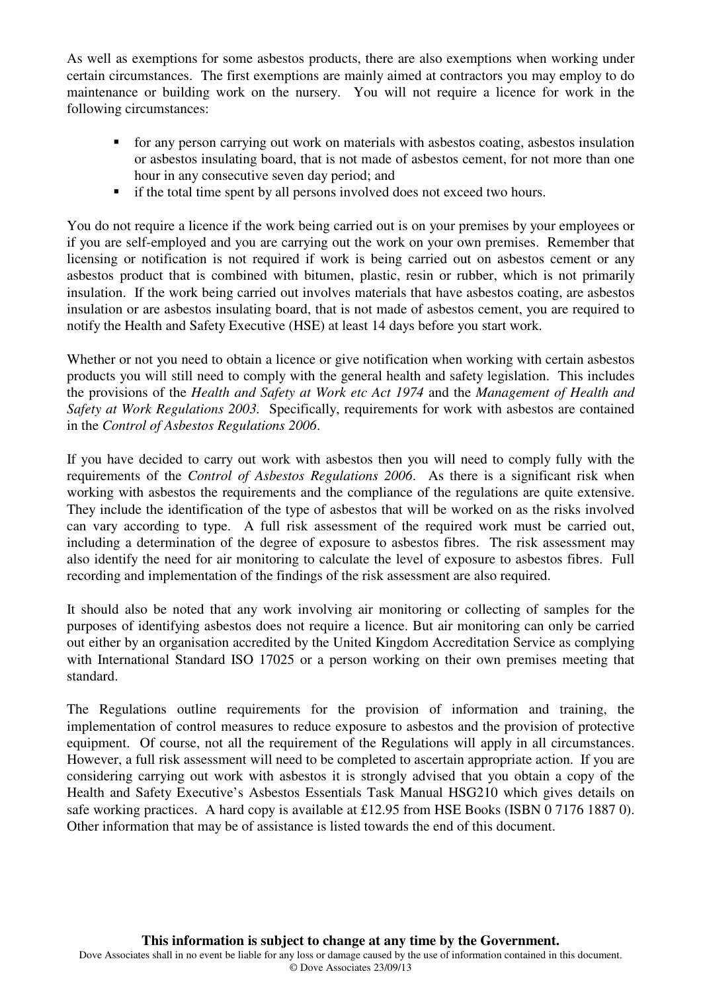As well as exemptions for some asbestos products, there are also exemptions when working under certain circumstances. The first exemptions are mainly aimed at contractors you may employ to do maintenance or building work on the nursery. You will not require a licence for work in the following circumstances:

- for any person carrying out work on materials with asbestos coating, asbestos insulation or asbestos insulating board, that is not made of asbestos cement, for not more than one hour in any consecutive seven day period; and
- **i** if the total time spent by all persons involved does not exceed two hours.

You do not require a licence if the work being carried out is on your premises by your employees or if you are self-employed and you are carrying out the work on your own premises. Remember that licensing or notification is not required if work is being carried out on asbestos cement or any asbestos product that is combined with bitumen, plastic, resin or rubber, which is not primarily insulation. If the work being carried out involves materials that have asbestos coating, are asbestos insulation or are asbestos insulating board, that is not made of asbestos cement, you are required to notify the Health and Safety Executive (HSE) at least 14 days before you start work.

Whether or not you need to obtain a licence or give notification when working with certain asbestos products you will still need to comply with the general health and safety legislation. This includes the provisions of the *Health and Safety at Work etc Act 1974* and the *Management of Health and Safety at Work Regulations 2003.* Specifically, requirements for work with asbestos are contained in the *Control of Asbestos Regulations 2006*.

If you have decided to carry out work with asbestos then you will need to comply fully with the requirements of the *Control of Asbestos Regulations 2006*. As there is a significant risk when working with asbestos the requirements and the compliance of the regulations are quite extensive. They include the identification of the type of asbestos that will be worked on as the risks involved can vary according to type. A full risk assessment of the required work must be carried out, including a determination of the degree of exposure to asbestos fibres. The risk assessment may also identify the need for air monitoring to calculate the level of exposure to asbestos fibres. Full recording and implementation of the findings of the risk assessment are also required.

It should also be noted that any work involving air monitoring or collecting of samples for the purposes of identifying asbestos does not require a licence. But air monitoring can only be carried out either by an organisation accredited by the United Kingdom Accreditation Service as complying with International Standard ISO 17025 or a person working on their own premises meeting that standard.

The Regulations outline requirements for the provision of information and training, the implementation of control measures to reduce exposure to asbestos and the provision of protective equipment. Of course, not all the requirement of the Regulations will apply in all circumstances. However, a full risk assessment will need to be completed to ascertain appropriate action. If you are considering carrying out work with asbestos it is strongly advised that you obtain a copy of the Health and Safety Executive's Asbestos Essentials Task Manual HSG210 which gives details on safe working practices. A hard copy is available at £12.95 from HSE Books (ISBN 0 7176 1887 0). Other information that may be of assistance is listed towards the end of this document.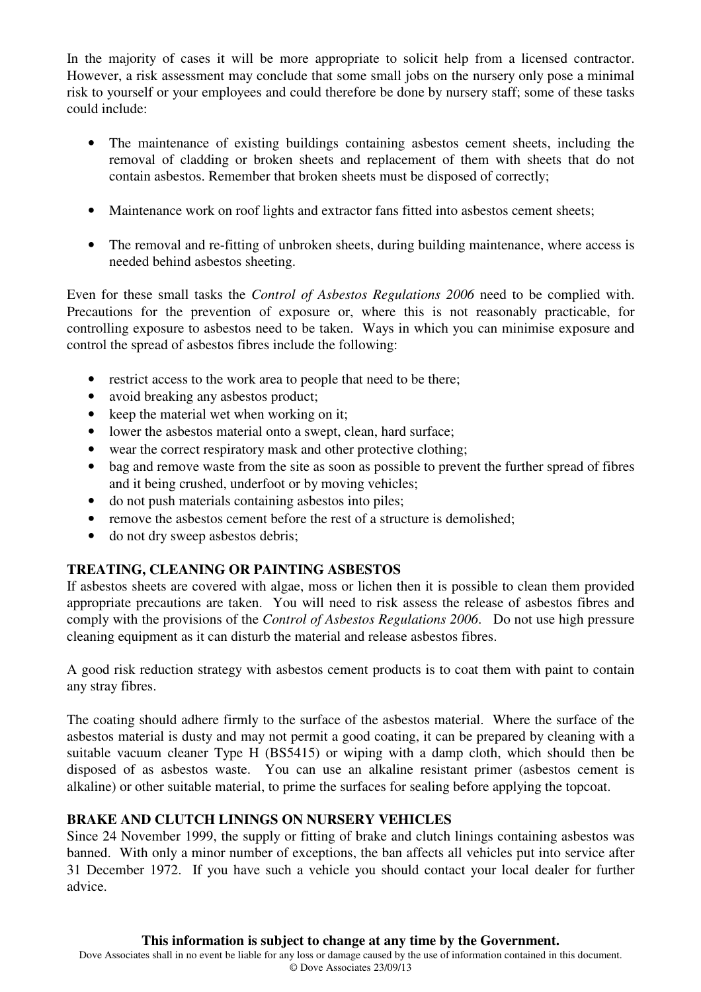In the majority of cases it will be more appropriate to solicit help from a licensed contractor. However, a risk assessment may conclude that some small jobs on the nursery only pose a minimal risk to yourself or your employees and could therefore be done by nursery staff; some of these tasks could include:

- The maintenance of existing buildings containing asbestos cement sheets, including the removal of cladding or broken sheets and replacement of them with sheets that do not contain asbestos. Remember that broken sheets must be disposed of correctly;
- Maintenance work on roof lights and extractor fans fitted into asbestos cement sheets;
- The removal and re-fitting of unbroken sheets, during building maintenance, where access is needed behind asbestos sheeting.

Even for these small tasks the *Control of Asbestos Regulations 2006* need to be complied with. Precautions for the prevention of exposure or, where this is not reasonably practicable, for controlling exposure to asbestos need to be taken. Ways in which you can minimise exposure and control the spread of asbestos fibres include the following:

- restrict access to the work area to people that need to be there;
- avoid breaking any asbestos product:
- keep the material wet when working on it;
- lower the asbestos material onto a swept, clean, hard surface;
- wear the correct respiratory mask and other protective clothing;
- bag and remove waste from the site as soon as possible to prevent the further spread of fibres and it being crushed, underfoot or by moving vehicles;
- do not push materials containing asbestos into piles;
- remove the asbestos cement before the rest of a structure is demolished;
- do not dry sweep asbestos debris;

# **TREATING, CLEANING OR PAINTING ASBESTOS**

If asbestos sheets are covered with algae, moss or lichen then it is possible to clean them provided appropriate precautions are taken. You will need to risk assess the release of asbestos fibres and comply with the provisions of the *Control of Asbestos Regulations 2006*. Do not use high pressure cleaning equipment as it can disturb the material and release asbestos fibres.

A good risk reduction strategy with asbestos cement products is to coat them with paint to contain any stray fibres.

The coating should adhere firmly to the surface of the asbestos material. Where the surface of the asbestos material is dusty and may not permit a good coating, it can be prepared by cleaning with a suitable vacuum cleaner Type H (BS5415) or wiping with a damp cloth, which should then be disposed of as asbestos waste. You can use an alkaline resistant primer (asbestos cement is alkaline) or other suitable material, to prime the surfaces for sealing before applying the topcoat.

# **BRAKE AND CLUTCH LININGS ON NURSERY VEHICLES**

Since 24 November 1999, the supply or fitting of brake and clutch linings containing asbestos was banned. With only a minor number of exceptions, the ban affects all vehicles put into service after 31 December 1972. If you have such a vehicle you should contact your local dealer for further advice.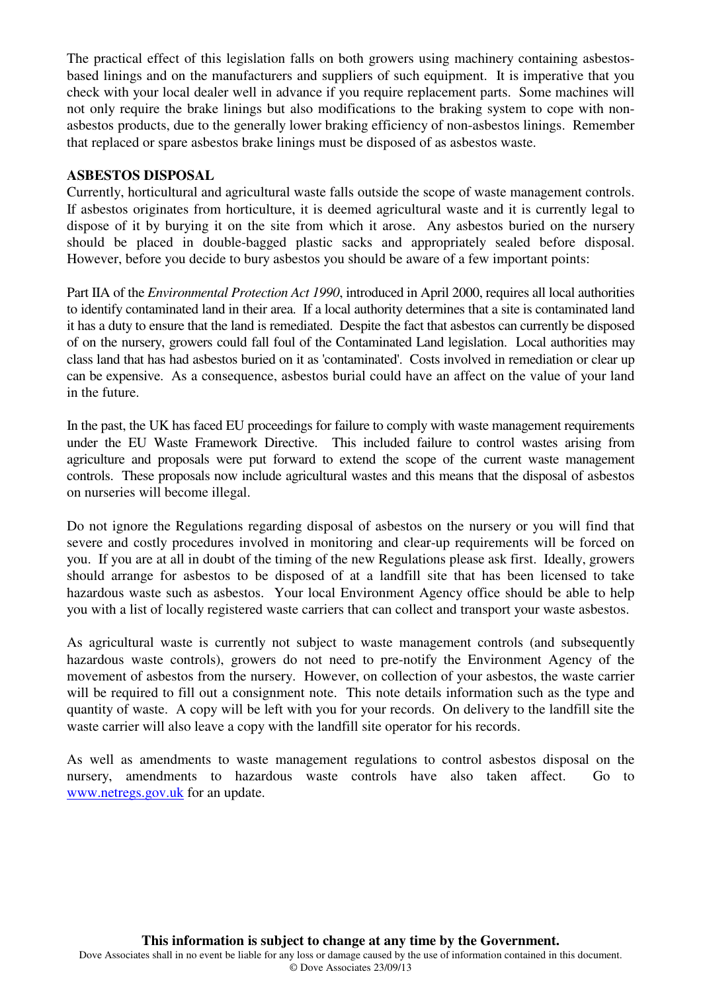The practical effect of this legislation falls on both growers using machinery containing asbestosbased linings and on the manufacturers and suppliers of such equipment. It is imperative that you check with your local dealer well in advance if you require replacement parts. Some machines will not only require the brake linings but also modifications to the braking system to cope with nonasbestos products, due to the generally lower braking efficiency of non-asbestos linings. Remember that replaced or spare asbestos brake linings must be disposed of as asbestos waste.

#### **ASBESTOS DISPOSAL**

Currently, horticultural and agricultural waste falls outside the scope of waste management controls. If asbestos originates from horticulture, it is deemed agricultural waste and it is currently legal to dispose of it by burying it on the site from which it arose. Any asbestos buried on the nursery should be placed in double-bagged plastic sacks and appropriately sealed before disposal. However, before you decide to bury asbestos you should be aware of a few important points:

Part IIA of the *Environmental Protection Act 1990*, introduced in April 2000, requires all local authorities to identify contaminated land in their area. If a local authority determines that a site is contaminated land it has a duty to ensure that the land is remediated. Despite the fact that asbestos can currently be disposed of on the nursery, growers could fall foul of the Contaminated Land legislation. Local authorities may class land that has had asbestos buried on it as 'contaminated'. Costs involved in remediation or clear up can be expensive. As a consequence, asbestos burial could have an affect on the value of your land in the future.

In the past, the UK has faced EU proceedings for failure to comply with waste management requirements under the EU Waste Framework Directive. This included failure to control wastes arising from agriculture and proposals were put forward to extend the scope of the current waste management controls. These proposals now include agricultural wastes and this means that the disposal of asbestos on nurseries will become illegal.

Do not ignore the Regulations regarding disposal of asbestos on the nursery or you will find that severe and costly procedures involved in monitoring and clear-up requirements will be forced on you. If you are at all in doubt of the timing of the new Regulations please ask first. Ideally, growers should arrange for asbestos to be disposed of at a landfill site that has been licensed to take hazardous waste such as asbestos. Your local Environment Agency office should be able to help you with a list of locally registered waste carriers that can collect and transport your waste asbestos.

As agricultural waste is currently not subject to waste management controls (and subsequently hazardous waste controls), growers do not need to pre-notify the Environment Agency of the movement of asbestos from the nursery. However, on collection of your asbestos, the waste carrier will be required to fill out a consignment note. This note details information such as the type and quantity of waste. A copy will be left with you for your records. On delivery to the landfill site the waste carrier will also leave a copy with the landfill site operator for his records.

As well as amendments to waste management regulations to control asbestos disposal on the nursery, amendments to hazardous waste controls have also taken affect. Go to www.netregs.gov.uk for an update.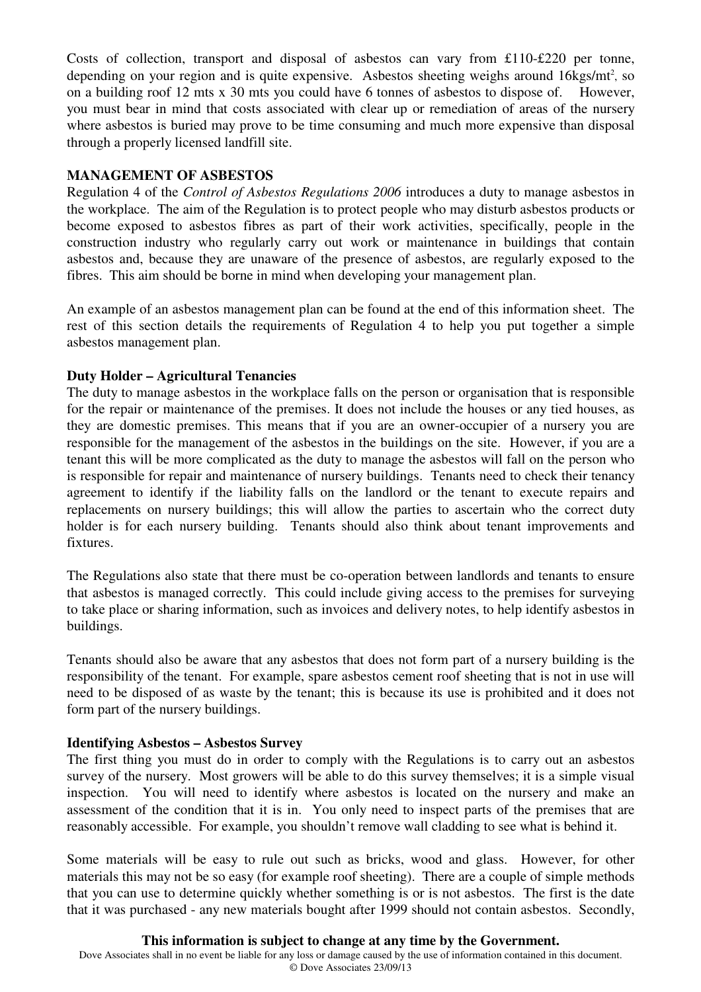Costs of collection, transport and disposal of asbestos can vary from £110-£220 per tonne, depending on your region and is quite expensive. Asbestos sheeting weighs around 16kgs/mt<sup>2</sup>, so on a building roof 12 mts x 30 mts you could have 6 tonnes of asbestos to dispose of. However, you must bear in mind that costs associated with clear up or remediation of areas of the nursery where asbestos is buried may prove to be time consuming and much more expensive than disposal through a properly licensed landfill site.

## **MANAGEMENT OF ASBESTOS**

Regulation 4 of the *Control of Asbestos Regulations 2006* introduces a duty to manage asbestos in the workplace. The aim of the Regulation is to protect people who may disturb asbestos products or become exposed to asbestos fibres as part of their work activities, specifically, people in the construction industry who regularly carry out work or maintenance in buildings that contain asbestos and, because they are unaware of the presence of asbestos, are regularly exposed to the fibres. This aim should be borne in mind when developing your management plan.

An example of an asbestos management plan can be found at the end of this information sheet. The rest of this section details the requirements of Regulation 4 to help you put together a simple asbestos management plan.

## **Duty Holder – Agricultural Tenancies**

The duty to manage asbestos in the workplace falls on the person or organisation that is responsible for the repair or maintenance of the premises. It does not include the houses or any tied houses, as they are domestic premises. This means that if you are an owner-occupier of a nursery you are responsible for the management of the asbestos in the buildings on the site. However, if you are a tenant this will be more complicated as the duty to manage the asbestos will fall on the person who is responsible for repair and maintenance of nursery buildings. Tenants need to check their tenancy agreement to identify if the liability falls on the landlord or the tenant to execute repairs and replacements on nursery buildings; this will allow the parties to ascertain who the correct duty holder is for each nursery building. Tenants should also think about tenant improvements and fixtures.

The Regulations also state that there must be co-operation between landlords and tenants to ensure that asbestos is managed correctly. This could include giving access to the premises for surveying to take place or sharing information, such as invoices and delivery notes, to help identify asbestos in buildings.

Tenants should also be aware that any asbestos that does not form part of a nursery building is the responsibility of the tenant. For example, spare asbestos cement roof sheeting that is not in use will need to be disposed of as waste by the tenant; this is because its use is prohibited and it does not form part of the nursery buildings.

## **Identifying Asbestos – Asbestos Survey**

The first thing you must do in order to comply with the Regulations is to carry out an asbestos survey of the nursery. Most growers will be able to do this survey themselves; it is a simple visual inspection. You will need to identify where asbestos is located on the nursery and make an assessment of the condition that it is in. You only need to inspect parts of the premises that are reasonably accessible. For example, you shouldn't remove wall cladding to see what is behind it.

Some materials will be easy to rule out such as bricks, wood and glass. However, for other materials this may not be so easy (for example roof sheeting). There are a couple of simple methods that you can use to determine quickly whether something is or is not asbestos. The first is the date that it was purchased - any new materials bought after 1999 should not contain asbestos. Secondly,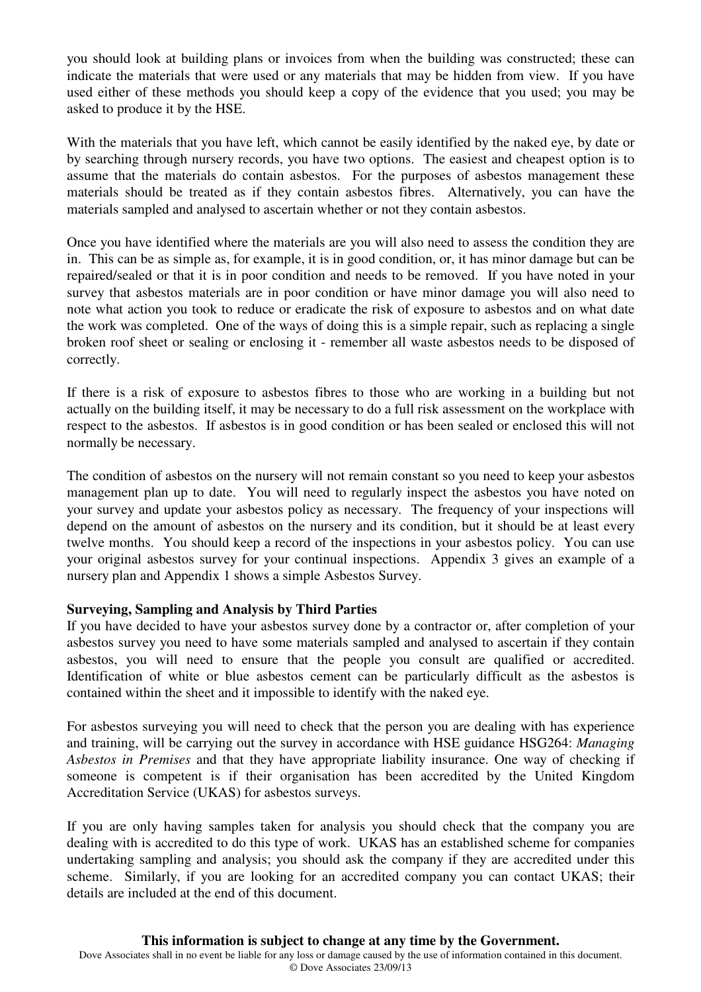you should look at building plans or invoices from when the building was constructed; these can indicate the materials that were used or any materials that may be hidden from view. If you have used either of these methods you should keep a copy of the evidence that you used; you may be asked to produce it by the HSE.

With the materials that you have left, which cannot be easily identified by the naked eye, by date or by searching through nursery records, you have two options. The easiest and cheapest option is to assume that the materials do contain asbestos. For the purposes of asbestos management these materials should be treated as if they contain asbestos fibres. Alternatively, you can have the materials sampled and analysed to ascertain whether or not they contain asbestos.

Once you have identified where the materials are you will also need to assess the condition they are in. This can be as simple as, for example, it is in good condition, or, it has minor damage but can be repaired/sealed or that it is in poor condition and needs to be removed. If you have noted in your survey that asbestos materials are in poor condition or have minor damage you will also need to note what action you took to reduce or eradicate the risk of exposure to asbestos and on what date the work was completed. One of the ways of doing this is a simple repair, such as replacing a single broken roof sheet or sealing or enclosing it - remember all waste asbestos needs to be disposed of correctly.

If there is a risk of exposure to asbestos fibres to those who are working in a building but not actually on the building itself, it may be necessary to do a full risk assessment on the workplace with respect to the asbestos. If asbestos is in good condition or has been sealed or enclosed this will not normally be necessary.

The condition of asbestos on the nursery will not remain constant so you need to keep your asbestos management plan up to date. You will need to regularly inspect the asbestos you have noted on your survey and update your asbestos policy as necessary. The frequency of your inspections will depend on the amount of asbestos on the nursery and its condition, but it should be at least every twelve months. You should keep a record of the inspections in your asbestos policy. You can use your original asbestos survey for your continual inspections. Appendix 3 gives an example of a nursery plan and Appendix 1 shows a simple Asbestos Survey.

#### **Surveying, Sampling and Analysis by Third Parties**

If you have decided to have your asbestos survey done by a contractor or, after completion of your asbestos survey you need to have some materials sampled and analysed to ascertain if they contain asbestos, you will need to ensure that the people you consult are qualified or accredited. Identification of white or blue asbestos cement can be particularly difficult as the asbestos is contained within the sheet and it impossible to identify with the naked eye.

For asbestos surveying you will need to check that the person you are dealing with has experience and training, will be carrying out the survey in accordance with HSE guidance HSG264: *Managing Asbestos in Premises* and that they have appropriate liability insurance. One way of checking if someone is competent is if their organisation has been accredited by the United Kingdom Accreditation Service (UKAS) for asbestos surveys.

If you are only having samples taken for analysis you should check that the company you are dealing with is accredited to do this type of work. UKAS has an established scheme for companies undertaking sampling and analysis; you should ask the company if they are accredited under this scheme. Similarly, if you are looking for an accredited company you can contact UKAS; their details are included at the end of this document.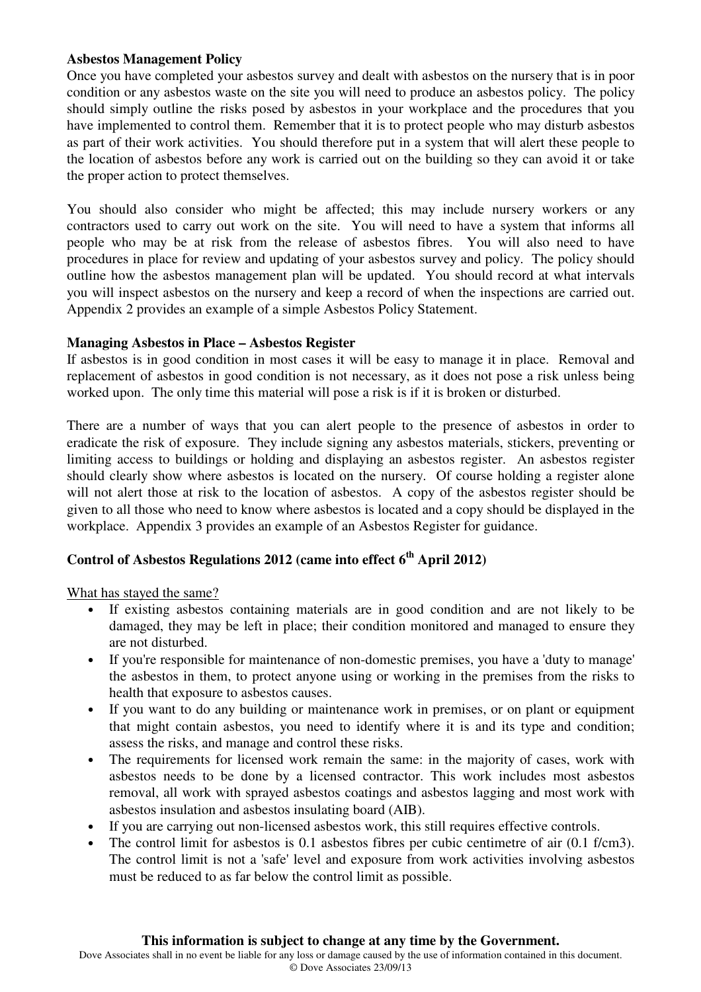#### **Asbestos Management Policy**

Once you have completed your asbestos survey and dealt with asbestos on the nursery that is in poor condition or any asbestos waste on the site you will need to produce an asbestos policy. The policy should simply outline the risks posed by asbestos in your workplace and the procedures that you have implemented to control them. Remember that it is to protect people who may disturb asbestos as part of their work activities. You should therefore put in a system that will alert these people to the location of asbestos before any work is carried out on the building so they can avoid it or take the proper action to protect themselves.

You should also consider who might be affected; this may include nursery workers or any contractors used to carry out work on the site. You will need to have a system that informs all people who may be at risk from the release of asbestos fibres. You will also need to have procedures in place for review and updating of your asbestos survey and policy. The policy should outline how the asbestos management plan will be updated. You should record at what intervals you will inspect asbestos on the nursery and keep a record of when the inspections are carried out. Appendix 2 provides an example of a simple Asbestos Policy Statement.

#### **Managing Asbestos in Place – Asbestos Register**

If asbestos is in good condition in most cases it will be easy to manage it in place. Removal and replacement of asbestos in good condition is not necessary, as it does not pose a risk unless being worked upon. The only time this material will pose a risk is if it is broken or disturbed.

There are a number of ways that you can alert people to the presence of asbestos in order to eradicate the risk of exposure. They include signing any asbestos materials, stickers, preventing or limiting access to buildings or holding and displaying an asbestos register. An asbestos register should clearly show where asbestos is located on the nursery. Of course holding a register alone will not alert those at risk to the location of asbestos. A copy of the asbestos register should be given to all those who need to know where asbestos is located and a copy should be displayed in the workplace. Appendix 3 provides an example of an Asbestos Register for guidance.

# **Control of Asbestos Regulations 2012 (came into effect 6th April 2012)**

What has stayed the same?

- If existing asbestos containing materials are in good condition and are not likely to be damaged, they may be left in place; their condition monitored and managed to ensure they are not disturbed.
- If you're responsible for maintenance of non-domestic premises, you have a 'duty to manage' the asbestos in them, to protect anyone using or working in the premises from the risks to health that exposure to asbestos causes.
- If you want to do any building or maintenance work in premises, or on plant or equipment that might contain asbestos, you need to identify where it is and its type and condition; assess the risks, and manage and control these risks.
- The requirements for licensed work remain the same: in the majority of cases, work with asbestos needs to be done by a licensed contractor. This work includes most asbestos removal, all work with sprayed asbestos coatings and asbestos lagging and most work with asbestos insulation and asbestos insulating board (AIB).
- If you are carrying out non-licensed asbestos work, this still requires effective controls.
- The control limit for asbestos is 0.1 asbestos fibres per cubic centimetre of air  $(0.1 \text{ f/cm3})$ . The control limit is not a 'safe' level and exposure from work activities involving asbestos must be reduced to as far below the control limit as possible.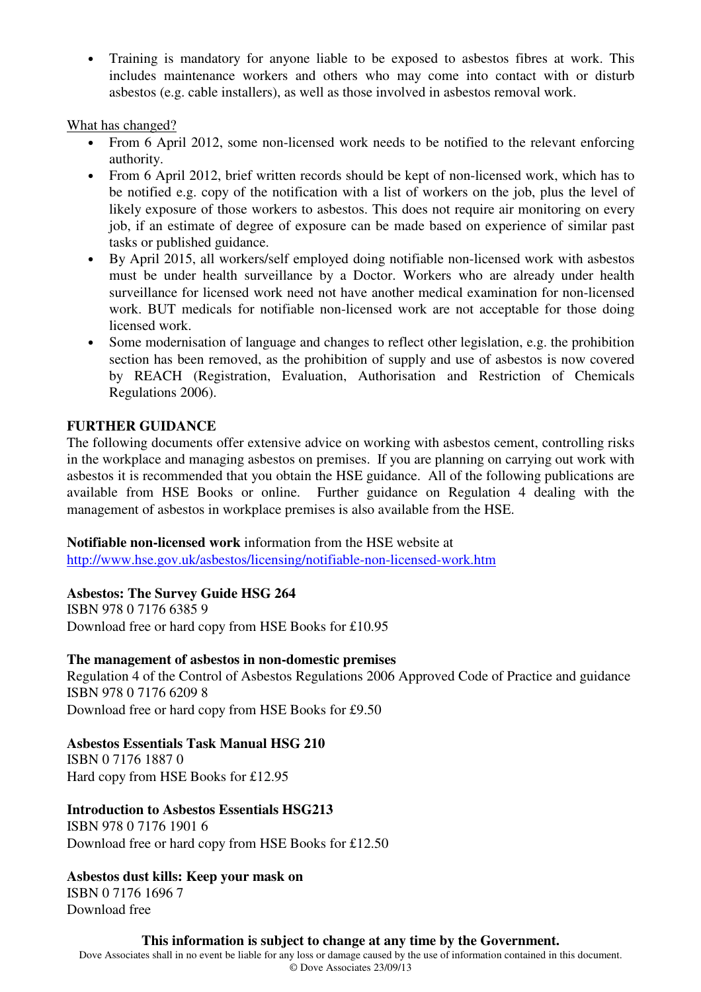• Training is mandatory for anyone liable to be exposed to asbestos fibres at work. This includes maintenance workers and others who may come into contact with or disturb asbestos (e.g. cable installers), as well as those involved in asbestos removal work.

What has changed?

- From 6 April 2012, some non-licensed work needs to be notified to the relevant enforcing authority.
- From 6 April 2012, brief written records should be kept of non-licensed work, which has to be notified e.g. copy of the notification with a list of workers on the job, plus the level of likely exposure of those workers to asbestos. This does not require air monitoring on every job, if an estimate of degree of exposure can be made based on experience of similar past tasks or published guidance.
- By April 2015, all workers/self employed doing notifiable non-licensed work with asbestos must be under health surveillance by a Doctor. Workers who are already under health surveillance for licensed work need not have another medical examination for non-licensed work. BUT medicals for notifiable non-licensed work are not acceptable for those doing licensed work.
- Some modernisation of language and changes to reflect other legislation, e.g. the prohibition section has been removed, as the prohibition of supply and use of asbestos is now covered by REACH (Registration, Evaluation, Authorisation and Restriction of Chemicals Regulations 2006).

## **FURTHER GUIDANCE**

The following documents offer extensive advice on working with asbestos cement, controlling risks in the workplace and managing asbestos on premises. If you are planning on carrying out work with asbestos it is recommended that you obtain the HSE guidance. All of the following publications are available from HSE Books or online. Further guidance on Regulation 4 dealing with the management of asbestos in workplace premises is also available from the HSE.

#### **Notifiable non-licensed work** information from the HSE website at

http://www.hse.gov.uk/asbestos/licensing/notifiable-non-licensed-work.htm

## **Asbestos: The Survey Guide HSG 264**

ISBN 978 0 7176 6385 9 Download free or hard copy from HSE Books for £10.95

## **The management of asbestos in non-domestic premises**

Regulation 4 of the Control of Asbestos Regulations 2006 Approved Code of Practice and guidance ISBN 978 0 7176 6209 8 Download free or hard copy from HSE Books for £9.50

# **Asbestos Essentials Task Manual HSG 210**

ISBN 0 7176 1887 0 Hard copy from HSE Books for £12.95

# **Introduction to Asbestos Essentials HSG213**

ISBN 978 0 7176 1901 6 Download free or hard copy from HSE Books for £12.50

# **Asbestos dust kills: Keep your mask on**

ISBN 0 7176 1696 7 Download free

**This information is subject to change at any time by the Government.** Dove Associates shall in no event be liable for any loss or damage caused by the use of information contained in this document. © Dove Associates 23/09/13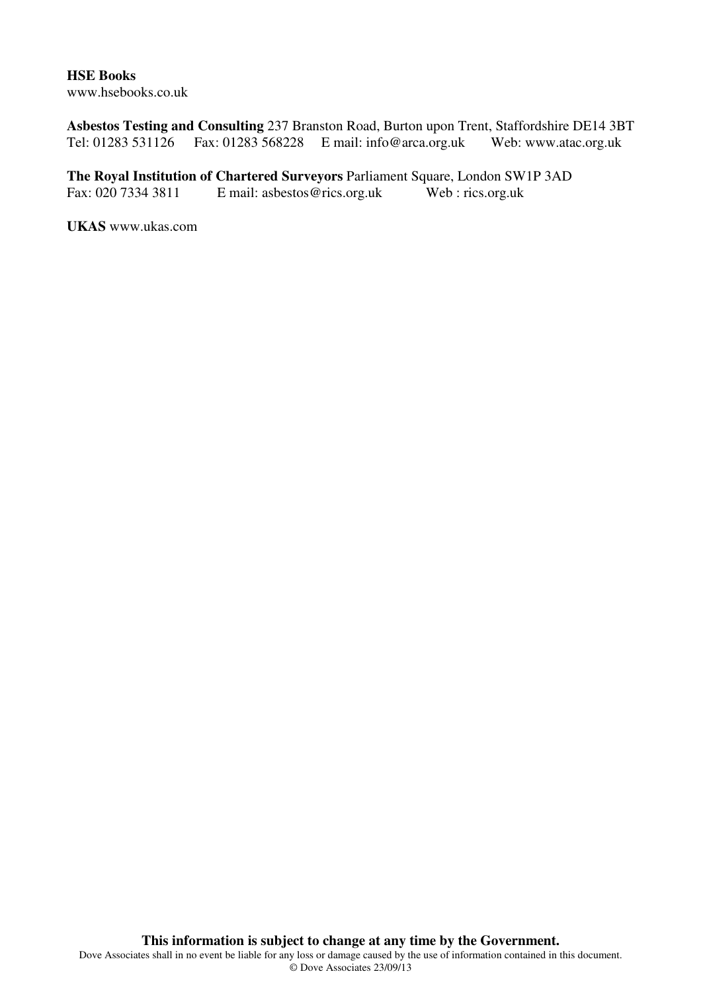#### **HSE Books**  www.hsebooks.co.uk

**Asbestos Testing and Consulting** 237 Branston Road, Burton upon Trent, Staffordshire DE14 3BT Tel: 01283 531126 Fax: 01283 568228 E mail: info@arca.org.uk Web: www.atac.org.uk

**The Royal Institution of Chartered Surveyors** Parliament Square, London SW1P 3AD Fax: 020 7334 3811 E mail: asbestos@rics.org.uk Web : rics.org.uk

**UKAS** www.ukas.com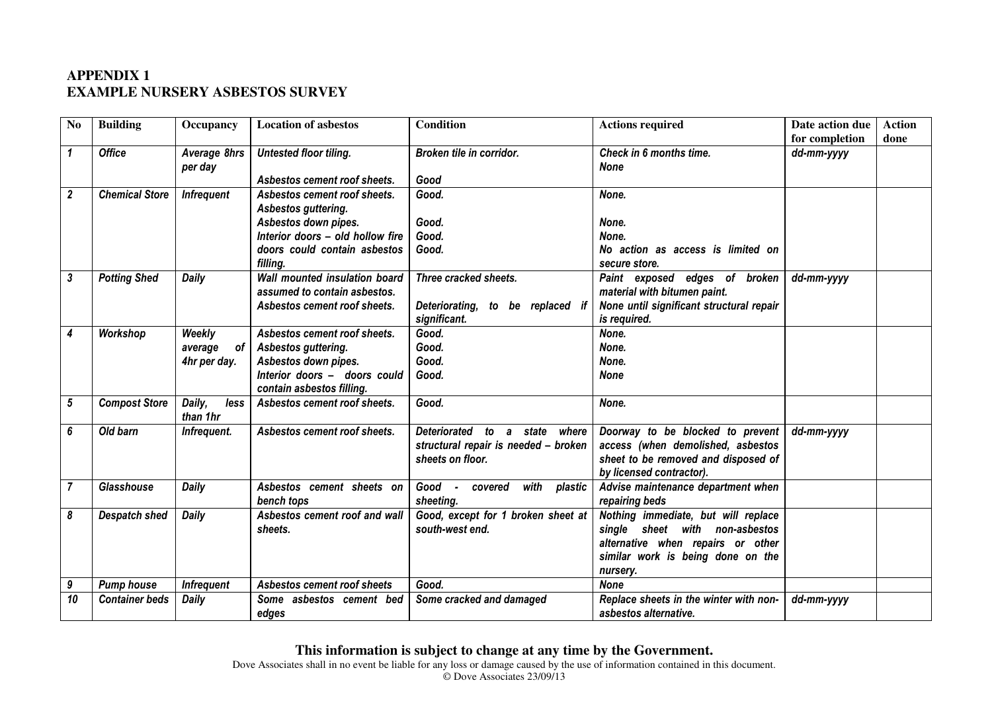# **APPENDIX 1 EXAMPLE NURSERY ASBESTOS SURVEY**

| N <sub>0</sub>          | <b>Building</b>       | Occupancy                               | <b>Location of asbestos</b>                                                                                                                                 | <b>Condition</b>                                                                             | <b>Actions required</b>                                                                                                                                     | Date action due | <b>Action</b> |
|-------------------------|-----------------------|-----------------------------------------|-------------------------------------------------------------------------------------------------------------------------------------------------------------|----------------------------------------------------------------------------------------------|-------------------------------------------------------------------------------------------------------------------------------------------------------------|-----------------|---------------|
|                         |                       |                                         |                                                                                                                                                             |                                                                                              |                                                                                                                                                             | for completion  | done          |
| $\mathbf{1}$            | <b>Office</b>         | Average 8hrs<br>per day                 | Untested floor tiling.<br>Asbestos cement roof sheets.                                                                                                      | Broken tile in corridor.<br>Good                                                             | Check in 6 months time.<br><b>None</b>                                                                                                                      | dd-mm-yyyy      |               |
| $\overline{\mathbf{2}}$ | <b>Chemical Store</b> | <b>Infrequent</b>                       | Asbestos cement roof sheets.<br>Asbestos guttering.<br>Asbestos down pipes.<br>Interior doors - old hollow fire<br>doors could contain asbestos<br>filling. | Good.<br>Good.<br>Good.<br>Good.                                                             | None.<br>None.<br>None.<br>No action as access is limited on<br>secure store.                                                                               |                 |               |
| 3                       | <b>Potting Shed</b>   | Daily                                   | Wall mounted insulation board<br>assumed to contain asbestos.<br>Asbestos cement roof sheets.                                                               | Three cracked sheets.<br>Deteriorating, to<br>be<br>replaced if<br>significant.              | Paint exposed edges of broken<br>material with bitumen paint.<br>None until significant structural repair<br>is required.                                   | dd-mm-yyyy      |               |
| 4                       | Workshop              | Weekly<br>average<br>of<br>4hr per day. | Asbestos cement roof sheets.<br>Asbestos guttering.<br>Asbestos down pipes.<br>Interior doors - doors could<br>contain asbestos filling.                    | Good.<br>Good.<br>Good.<br>Good.                                                             | None.<br>None.<br>None.<br><b>None</b>                                                                                                                      |                 |               |
| 5                       | <b>Compost Store</b>  | Daily,<br>less<br>than 1hr              | Asbestos cement roof sheets.                                                                                                                                | Good.                                                                                        | None.                                                                                                                                                       |                 |               |
| 6                       | Old barn              | Infrequent.                             | Asbestos cement roof sheets.                                                                                                                                | Deteriorated to a state<br>where<br>structural repair is needed - broken<br>sheets on floor. | Doorway to be blocked to prevent<br>access (when demolished, asbestos<br>sheet to be removed and disposed of<br>by licensed contractor).                    | dd-mm-yyyy      |               |
| $\overline{7}$          | Glasshouse            | Daily                                   | Asbestos cement sheets on<br>bench tops                                                                                                                     | with<br>Good - covered<br>plastic<br>sheeting.                                               | Advise maintenance department when<br>repairing beds                                                                                                        |                 |               |
| 8                       | <b>Despatch shed</b>  | Daily                                   | Asbestos cement roof and wall<br>sheets.                                                                                                                    | Good, except for 1 broken sheet at<br>south-west end.                                        | Nothing immediate, but will replace<br>single sheet with non-asbestos<br>alternative when repairs or other<br>similar work is being done on the<br>nursery. |                 |               |
| 9                       | <b>Pump house</b>     | <b>Infrequent</b>                       | Asbestos cement roof sheets                                                                                                                                 | Good.                                                                                        | <b>None</b>                                                                                                                                                 |                 |               |
| 10                      | <b>Container beds</b> | <b>Daily</b>                            | Some asbestos cement bed<br>edges                                                                                                                           | Some cracked and damaged                                                                     | Replace sheets in the winter with non-<br>asbestos alternative.                                                                                             | dd-mm-yyyy      |               |

**This information is subject to change at any time by the Government.**<br>Dove Associates shall in no event be liable for any loss or damage caused by the use of information contained in this document.

© Dove Associates 23/09/13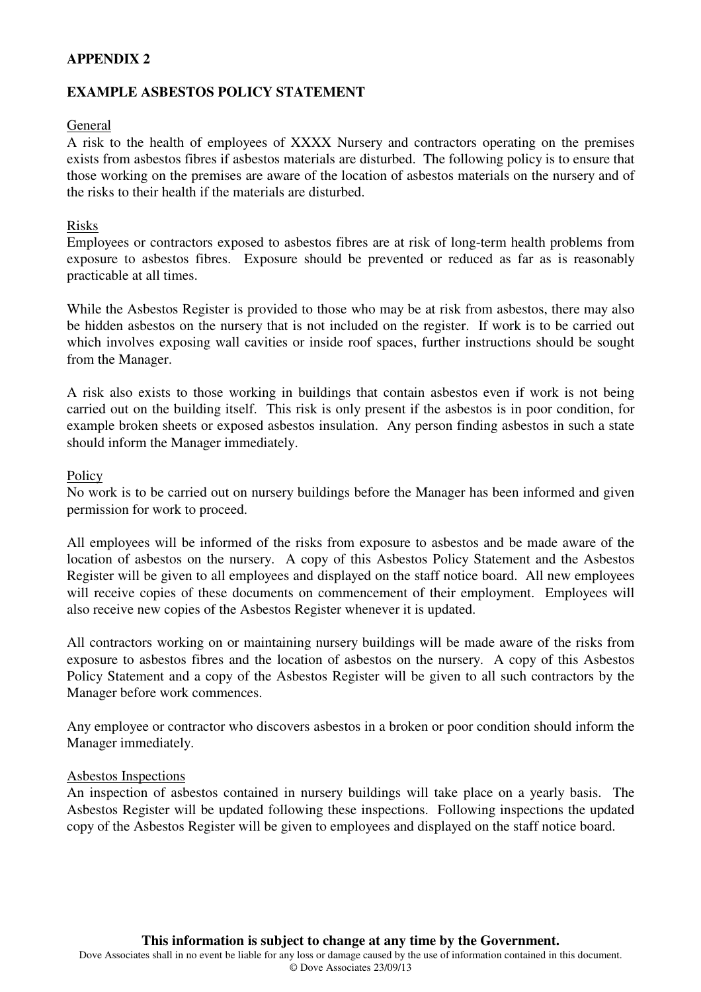#### **APPENDIX 2**

#### **EXAMPLE ASBESTOS POLICY STATEMENT**

#### General

A risk to the health of employees of XXXX Nursery and contractors operating on the premises exists from asbestos fibres if asbestos materials are disturbed. The following policy is to ensure that those working on the premises are aware of the location of asbestos materials on the nursery and of the risks to their health if the materials are disturbed.

#### Risks

Employees or contractors exposed to asbestos fibres are at risk of long-term health problems from exposure to asbestos fibres. Exposure should be prevented or reduced as far as is reasonably practicable at all times.

While the Asbestos Register is provided to those who may be at risk from asbestos, there may also be hidden asbestos on the nursery that is not included on the register. If work is to be carried out which involves exposing wall cavities or inside roof spaces, further instructions should be sought from the Manager.

A risk also exists to those working in buildings that contain asbestos even if work is not being carried out on the building itself. This risk is only present if the asbestos is in poor condition, for example broken sheets or exposed asbestos insulation. Any person finding asbestos in such a state should inform the Manager immediately.

#### **Policy**

No work is to be carried out on nursery buildings before the Manager has been informed and given permission for work to proceed.

All employees will be informed of the risks from exposure to asbestos and be made aware of the location of asbestos on the nursery. A copy of this Asbestos Policy Statement and the Asbestos Register will be given to all employees and displayed on the staff notice board. All new employees will receive copies of these documents on commencement of their employment. Employees will also receive new copies of the Asbestos Register whenever it is updated.

All contractors working on or maintaining nursery buildings will be made aware of the risks from exposure to asbestos fibres and the location of asbestos on the nursery. A copy of this Asbestos Policy Statement and a copy of the Asbestos Register will be given to all such contractors by the Manager before work commences.

Any employee or contractor who discovers asbestos in a broken or poor condition should inform the Manager immediately.

#### Asbestos Inspections

An inspection of asbestos contained in nursery buildings will take place on a yearly basis. The Asbestos Register will be updated following these inspections. Following inspections the updated copy of the Asbestos Register will be given to employees and displayed on the staff notice board.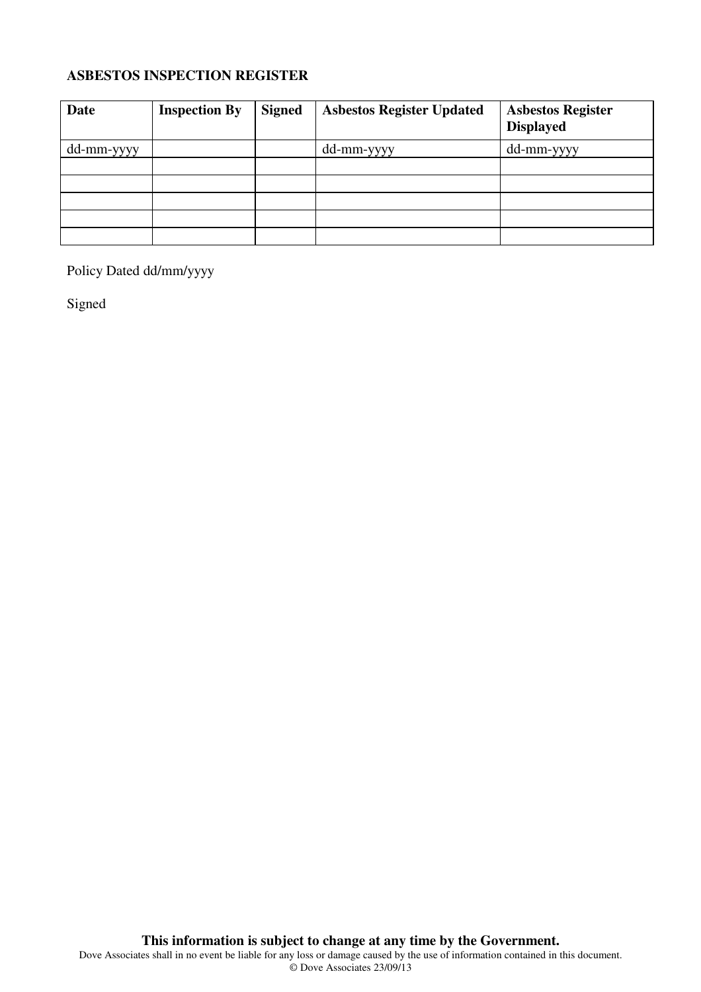## **ASBESTOS INSPECTION REGISTER**

| Date       | <b>Inspection By</b> | <b>Signed</b> | <b>Asbestos Register Updated</b> | <b>Asbestos Register</b><br><b>Displayed</b> |
|------------|----------------------|---------------|----------------------------------|----------------------------------------------|
| dd-mm-yyyy |                      |               | dd-mm-yyyy                       | dd-mm-yyyy                                   |
|            |                      |               |                                  |                                              |
|            |                      |               |                                  |                                              |
|            |                      |               |                                  |                                              |
|            |                      |               |                                  |                                              |
|            |                      |               |                                  |                                              |

Policy Dated dd/mm/yyyy

Signed